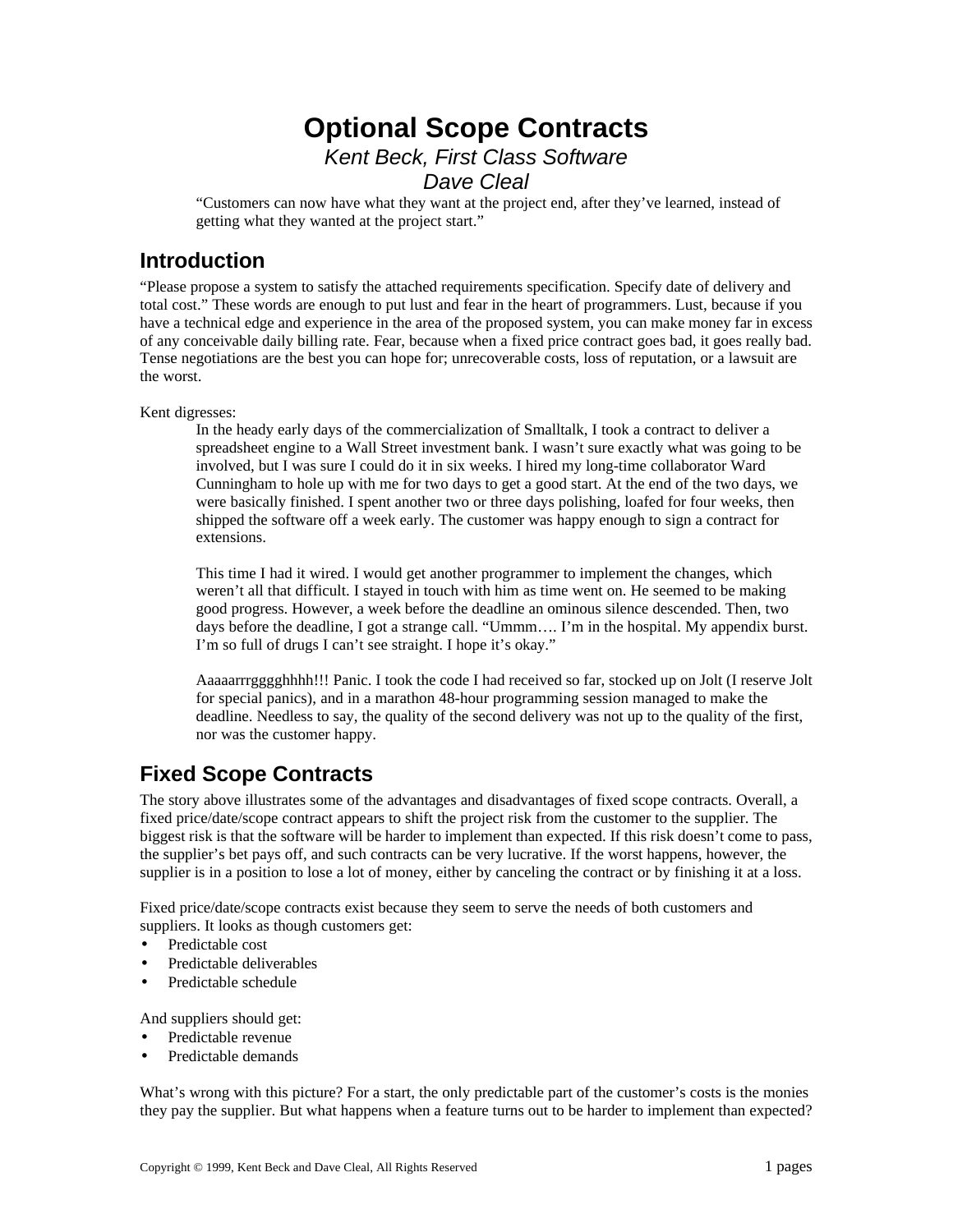# **Optional Scope Contracts** *Kent Beck, First Class Software*

*Dave Cleal*

"Customers can now have what they want at the project end, after they've learned, instead of getting what they wanted at the project start."

## **Introduction**

"Please propose a system to satisfy the attached requirements specification. Specify date of delivery and total cost." These words are enough to put lust and fear in the heart of programmers. Lust, because if you have a technical edge and experience in the area of the proposed system, you can make money far in excess of any conceivable daily billing rate. Fear, because when a fixed price contract goes bad, it goes really bad. Tense negotiations are the best you can hope for; unrecoverable costs, loss of reputation, or a lawsuit are the worst.

Kent digresses:

In the heady early days of the commercialization of Smalltalk, I took a contract to deliver a spreadsheet engine to a Wall Street investment bank. I wasn't sure exactly what was going to be involved, but I was sure I could do it in six weeks. I hired my long-time collaborator Ward Cunningham to hole up with me for two days to get a good start. At the end of the two days, we were basically finished. I spent another two or three days polishing, loafed for four weeks, then shipped the software off a week early. The customer was happy enough to sign a contract for extensions.

This time I had it wired. I would get another programmer to implement the changes, which weren't all that difficult. I stayed in touch with him as time went on. He seemed to be making good progress. However, a week before the deadline an ominous silence descended. Then, two days before the deadline, I got a strange call. "Ummm…. I'm in the hospital. My appendix burst. I'm so full of drugs I can't see straight. I hope it's okay."

Aaaaarrrgggghhhh!!! Panic. I took the code I had received so far, stocked up on Jolt (I reserve Jolt for special panics), and in a marathon 48-hour programming session managed to make the deadline. Needless to say, the quality of the second delivery was not up to the quality of the first, nor was the customer happy.

# **Fixed Scope Contracts**

The story above illustrates some of the advantages and disadvantages of fixed scope contracts. Overall, a fixed price/date/scope contract appears to shift the project risk from the customer to the supplier. The biggest risk is that the software will be harder to implement than expected. If this risk doesn't come to pass, the supplier's bet pays off, and such contracts can be very lucrative. If the worst happens, however, the supplier is in a position to lose a lot of money, either by canceling the contract or by finishing it at a loss.

Fixed price/date/scope contracts exist because they seem to serve the needs of both customers and suppliers. It looks as though customers get:

- Predictable cost
- Predictable deliverables
- Predictable schedule

And suppliers should get:

- Predictable revenue
- Predictable demands

What's wrong with this picture? For a start, the only predictable part of the customer's costs is the monies they pay the supplier. But what happens when a feature turns out to be harder to implement than expected?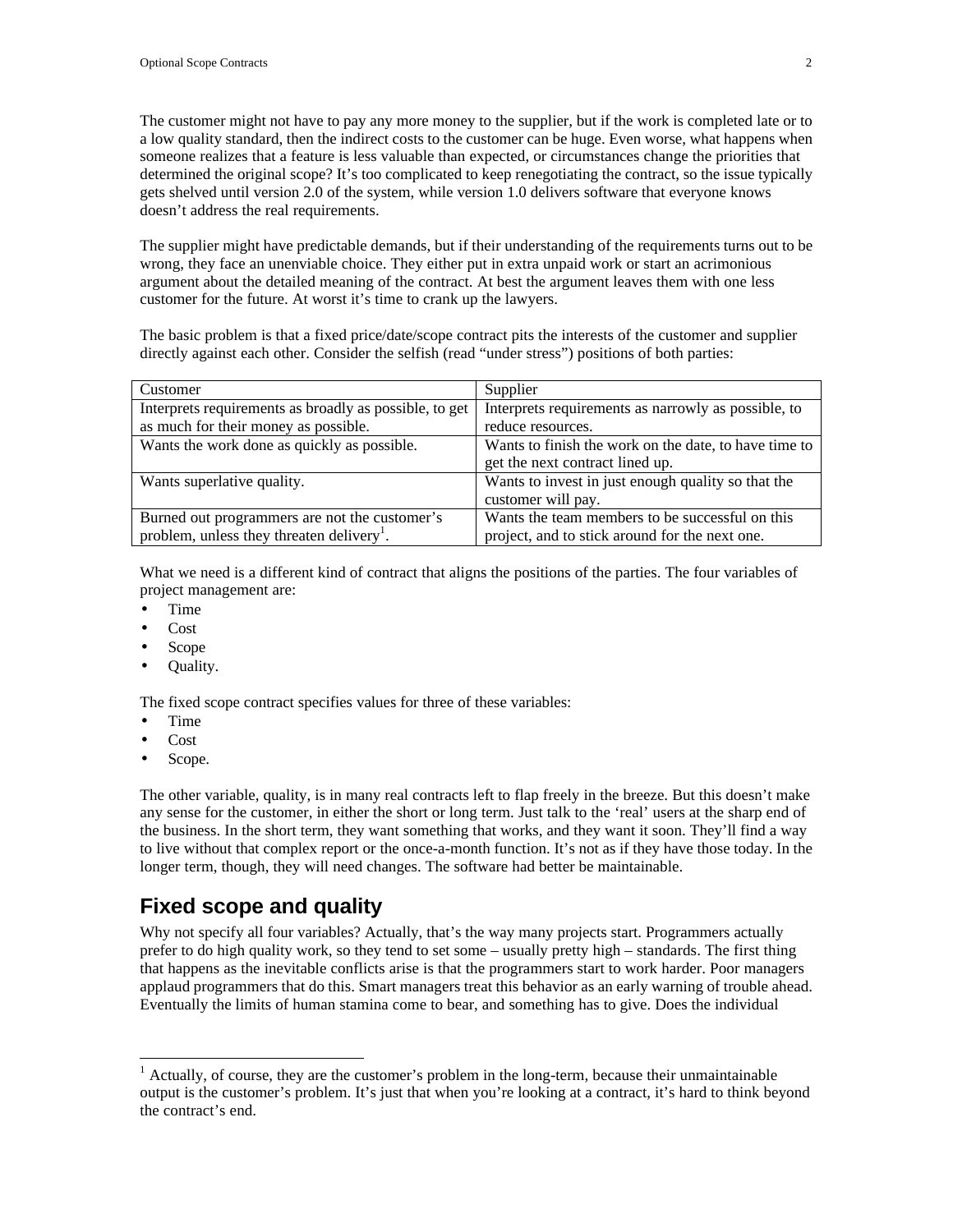The customer might not have to pay any more money to the supplier, but if the work is completed late or to a low quality standard, then the indirect costs to the customer can be huge. Even worse, what happens when someone realizes that a feature is less valuable than expected, or circumstances change the priorities that determined the original scope? It's too complicated to keep renegotiating the contract, so the issue typically gets shelved until version 2.0 of the system, while version 1.0 delivers software that everyone knows doesn't address the real requirements.

The supplier might have predictable demands, but if their understanding of the requirements turns out to be wrong, they face an unenviable choice. They either put in extra unpaid work or start an acrimonious argument about the detailed meaning of the contract. At best the argument leaves them with one less customer for the future. At worst it's time to crank up the lawyers.

The basic problem is that a fixed price/date/scope contract pits the interests of the customer and supplier directly against each other. Consider the selfish (read "under stress") positions of both parties:

| Customer                                               | Supplier                                              |
|--------------------------------------------------------|-------------------------------------------------------|
| Interprets requirements as broadly as possible, to get | Interprets requirements as narrowly as possible, to   |
| as much for their money as possible.                   | reduce resources.                                     |
| Wants the work done as quickly as possible.            | Wants to finish the work on the date, to have time to |
|                                                        | get the next contract lined up.                       |
| Wants superlative quality.                             | Wants to invest in just enough quality so that the    |
|                                                        | customer will pay.                                    |
| Burned out programmers are not the customer's          | Wants the team members to be successful on this       |
| problem, unless they threaten delivery <sup>1</sup> .  | project, and to stick around for the next one.        |

What we need is a different kind of contract that aligns the positions of the parties. The four variables of project management are:

- Time
- Cost
- Scope
- Quality.

The fixed scope contract specifies values for three of these variables:

- Time
- Cost

 $\overline{a}$ 

Scope.

The other variable, quality, is in many real contracts left to flap freely in the breeze. But this doesn't make any sense for the customer, in either the short or long term. Just talk to the 'real' users at the sharp end of the business. In the short term, they want something that works, and they want it soon. They'll find a way to live without that complex report or the once-a-month function. It's not as if they have those today. In the longer term, though, they will need changes. The software had better be maintainable.

#### **Fixed scope and quality**

Why not specify all four variables? Actually, that's the way many projects start. Programmers actually prefer to do high quality work, so they tend to set some – usually pretty high – standards. The first thing that happens as the inevitable conflicts arise is that the programmers start to work harder. Poor managers applaud programmers that do this. Smart managers treat this behavior as an early warning of trouble ahead. Eventually the limits of human stamina come to bear, and something has to give. Does the individual

 $<sup>1</sup>$  Actually, of course, they are the customer's problem in the long-term, because their unmaintainable</sup> output is the customer's problem. It's just that when you're looking at a contract, it's hard to think beyond the contract's end.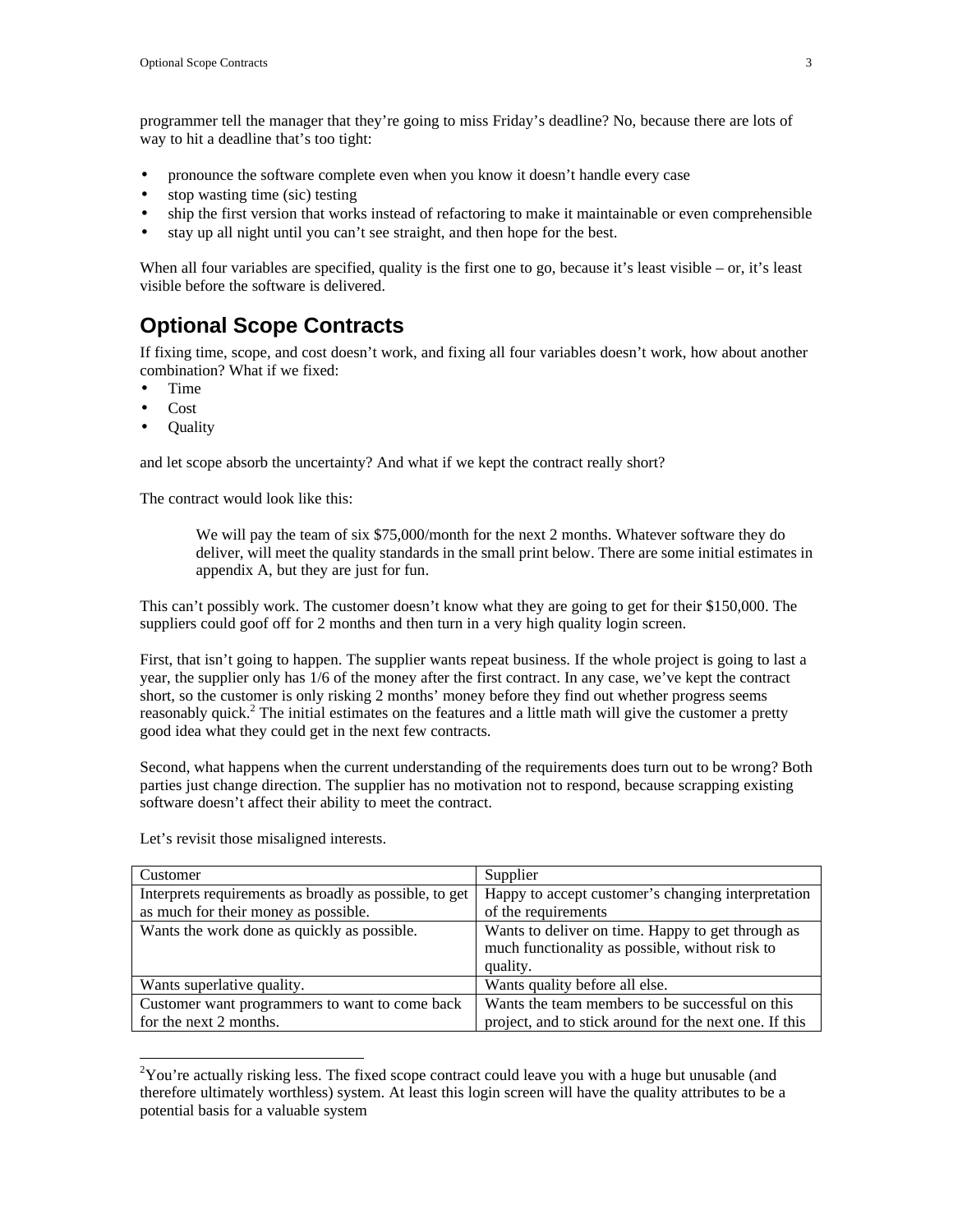programmer tell the manager that they're going to miss Friday's deadline? No, because there are lots of way to hit a deadline that's too tight:

- pronounce the software complete even when you know it doesn't handle every case
- stop wasting time (sic) testing
- ship the first version that works instead of refactoring to make it maintainable or even comprehensible
- stay up all night until you can't see straight, and then hope for the best.

When all four variables are specified, quality is the first one to go, because it's least visible – or, it's least visible before the software is delivered.

#### **Optional Scope Contracts**

If fixing time, scope, and cost doesn't work, and fixing all four variables doesn't work, how about another combination? What if we fixed:

- Time
- Cost

 $\overline{a}$ 

• Quality

and let scope absorb the uncertainty? And what if we kept the contract really short?

The contract would look like this:

We will pay the team of six \$75,000/month for the next 2 months. Whatever software they do deliver, will meet the quality standards in the small print below. There are some initial estimates in appendix A, but they are just for fun.

This can't possibly work. The customer doesn't know what they are going to get for their \$150,000. The suppliers could goof off for 2 months and then turn in a very high quality login screen.

First, that isn't going to happen. The supplier wants repeat business. If the whole project is going to last a year, the supplier only has 1/6 of the money after the first contract. In any case, we've kept the contract short, so the customer is only risking 2 months' money before they find out whether progress seems reasonably quick.<sup>2</sup> The initial estimates on the features and a little math will give the customer a pretty good idea what they could get in the next few contracts.

Second, what happens when the current understanding of the requirements does turn out to be wrong? Both parties just change direction. The supplier has no motivation not to respond, because scrapping existing software doesn't affect their ability to meet the contract.

| Customer                                               | Supplier                                               |
|--------------------------------------------------------|--------------------------------------------------------|
|                                                        |                                                        |
| Interprets requirements as broadly as possible, to get | Happy to accept customer's changing interpretation     |
| as much for their money as possible.                   | of the requirements                                    |
| Wants the work done as quickly as possible.            | Wants to deliver on time. Happy to get through as      |
|                                                        | much functionality as possible, without risk to        |
|                                                        | quality.                                               |
| Wants superlative quality.                             | Wants quality before all else.                         |
| Customer want programmers to want to come back         | Wants the team members to be successful on this        |
| for the next 2 months.                                 | project, and to stick around for the next one. If this |

Let's revisit those misaligned interests.

 $2$ You're actually risking less. The fixed scope contract could leave you with a huge but unusable (and therefore ultimately worthless) system. At least this login screen will have the quality attributes to be a potential basis for a valuable system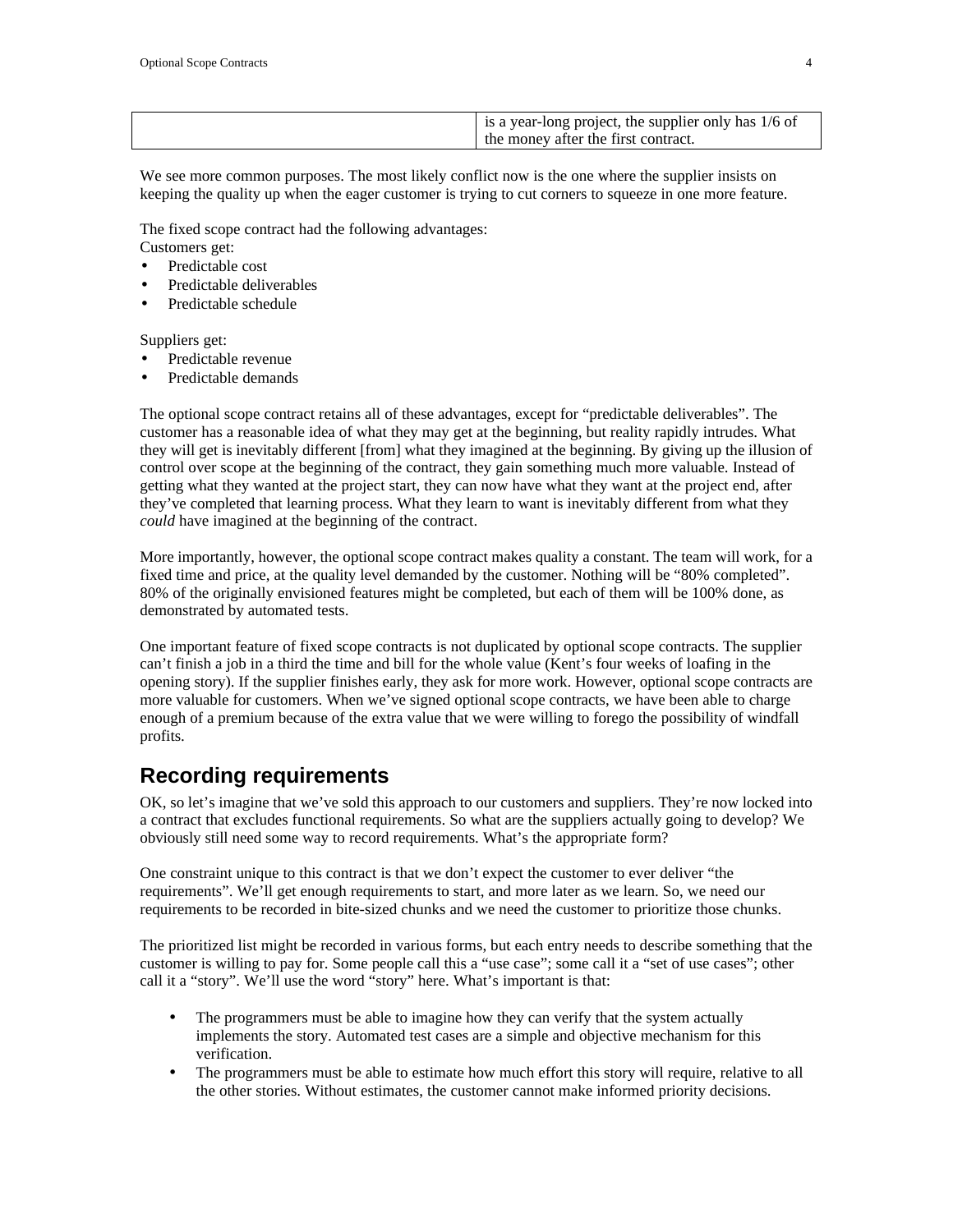|--|

We see more common purposes. The most likely conflict now is the one where the supplier insists on keeping the quality up when the eager customer is trying to cut corners to squeeze in one more feature.

The fixed scope contract had the following advantages:

Customers get:

- Predictable cost
- Predictable deliverables
- Predictable schedule

Suppliers get:

- Predictable revenue
- Predictable demands

The optional scope contract retains all of these advantages, except for "predictable deliverables". The customer has a reasonable idea of what they may get at the beginning, but reality rapidly intrudes. What they will get is inevitably different [from] what they imagined at the beginning. By giving up the illusion of control over scope at the beginning of the contract, they gain something much more valuable. Instead of getting what they wanted at the project start, they can now have what they want at the project end, after they've completed that learning process. What they learn to want is inevitably different from what they *could* have imagined at the beginning of the contract.

More importantly, however, the optional scope contract makes quality a constant. The team will work, for a fixed time and price, at the quality level demanded by the customer. Nothing will be "80% completed". 80% of the originally envisioned features might be completed, but each of them will be 100% done, as demonstrated by automated tests.

One important feature of fixed scope contracts is not duplicated by optional scope contracts. The supplier can't finish a job in a third the time and bill for the whole value (Kent's four weeks of loafing in the opening story). If the supplier finishes early, they ask for more work. However, optional scope contracts are more valuable for customers. When we've signed optional scope contracts, we have been able to charge enough of a premium because of the extra value that we were willing to forego the possibility of windfall profits.

#### **Recording requirements**

OK, so let's imagine that we've sold this approach to our customers and suppliers. They're now locked into a contract that excludes functional requirements. So what are the suppliers actually going to develop? We obviously still need some way to record requirements. What's the appropriate form?

One constraint unique to this contract is that we don't expect the customer to ever deliver "the requirements". We'll get enough requirements to start, and more later as we learn. So, we need our requirements to be recorded in bite-sized chunks and we need the customer to prioritize those chunks.

The prioritized list might be recorded in various forms, but each entry needs to describe something that the customer is willing to pay for. Some people call this a "use case"; some call it a "set of use cases"; other call it a "story". We'll use the word "story" here. What's important is that:

- The programmers must be able to imagine how they can verify that the system actually implements the story. Automated test cases are a simple and objective mechanism for this verification.
- The programmers must be able to estimate how much effort this story will require, relative to all the other stories. Without estimates, the customer cannot make informed priority decisions.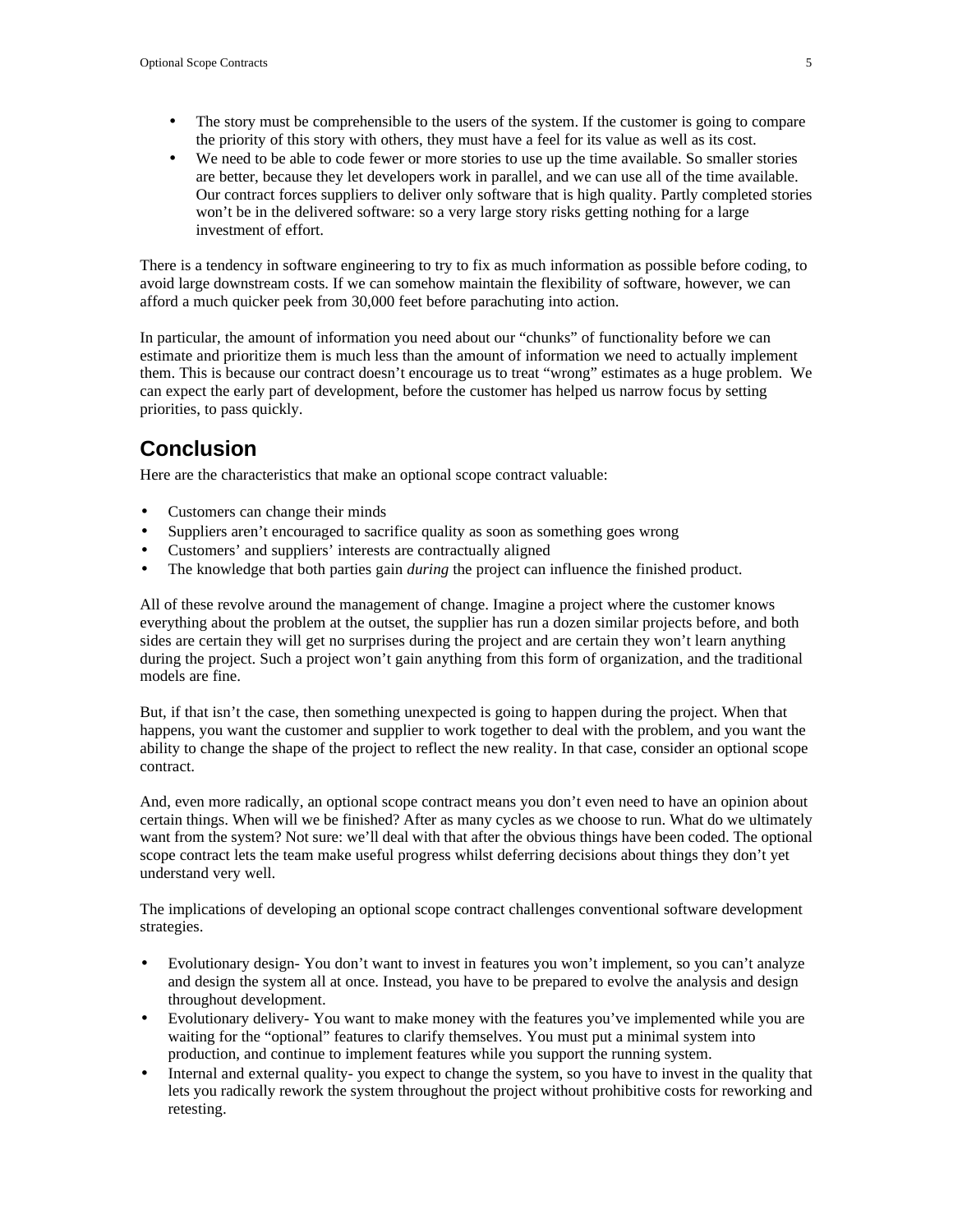- The story must be comprehensible to the users of the system. If the customer is going to compare the priority of this story with others, they must have a feel for its value as well as its cost.
- We need to be able to code fewer or more stories to use up the time available. So smaller stories are better, because they let developers work in parallel, and we can use all of the time available. Our contract forces suppliers to deliver only software that is high quality. Partly completed stories won't be in the delivered software: so a very large story risks getting nothing for a large investment of effort.

There is a tendency in software engineering to try to fix as much information as possible before coding, to avoid large downstream costs. If we can somehow maintain the flexibility of software, however, we can afford a much quicker peek from 30,000 feet before parachuting into action.

In particular, the amount of information you need about our "chunks" of functionality before we can estimate and prioritize them is much less than the amount of information we need to actually implement them. This is because our contract doesn't encourage us to treat "wrong" estimates as a huge problem. We can expect the early part of development, before the customer has helped us narrow focus by setting priorities, to pass quickly.

### **Conclusion**

Here are the characteristics that make an optional scope contract valuable:

- Customers can change their minds
- Suppliers aren't encouraged to sacrifice quality as soon as something goes wrong
- Customers' and suppliers' interests are contractually aligned
- The knowledge that both parties gain *during* the project can influence the finished product.

All of these revolve around the management of change. Imagine a project where the customer knows everything about the problem at the outset, the supplier has run a dozen similar projects before, and both sides are certain they will get no surprises during the project and are certain they won't learn anything during the project. Such a project won't gain anything from this form of organization, and the traditional models are fine.

But, if that isn't the case, then something unexpected is going to happen during the project. When that happens, you want the customer and supplier to work together to deal with the problem, and you want the ability to change the shape of the project to reflect the new reality. In that case, consider an optional scope contract.

And, even more radically, an optional scope contract means you don't even need to have an opinion about certain things. When will we be finished? After as many cycles as we choose to run. What do we ultimately want from the system? Not sure: we'll deal with that after the obvious things have been coded. The optional scope contract lets the team make useful progress whilst deferring decisions about things they don't yet understand very well.

The implications of developing an optional scope contract challenges conventional software development strategies.

- Evolutionary design- You don't want to invest in features you won't implement, so you can't analyze and design the system all at once. Instead, you have to be prepared to evolve the analysis and design throughout development.
- Evolutionary delivery- You want to make money with the features you've implemented while you are waiting for the "optional" features to clarify themselves. You must put a minimal system into production, and continue to implement features while you support the running system.
- Internal and external quality- you expect to change the system, so you have to invest in the quality that lets you radically rework the system throughout the project without prohibitive costs for reworking and retesting.